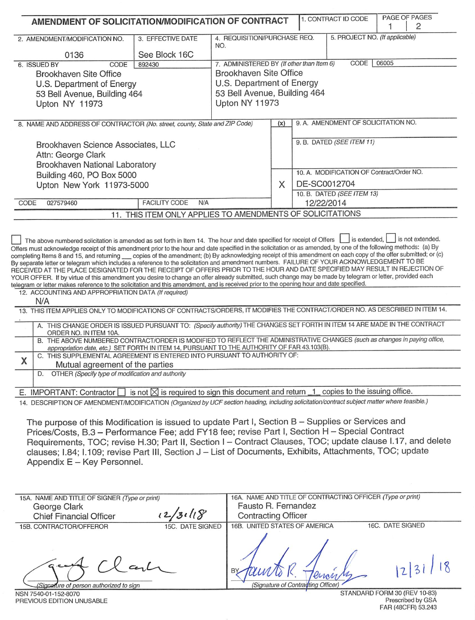| AMENDMENT OF SOLICITATION/MODIFICATION OF CONTRACT                                                                                                                                                                                                                                                                                                                                                                                                                                                                                                                                                                                                                                                                                                                                                                                                                                                                                                                                                                                                                                                       |                                                                                                                                                                                                                          |                                                            |                                                   |                                   | 1. CONTRACT ID CODE                                        | PAGE OF PAGES<br>2       |
|----------------------------------------------------------------------------------------------------------------------------------------------------------------------------------------------------------------------------------------------------------------------------------------------------------------------------------------------------------------------------------------------------------------------------------------------------------------------------------------------------------------------------------------------------------------------------------------------------------------------------------------------------------------------------------------------------------------------------------------------------------------------------------------------------------------------------------------------------------------------------------------------------------------------------------------------------------------------------------------------------------------------------------------------------------------------------------------------------------|--------------------------------------------------------------------------------------------------------------------------------------------------------------------------------------------------------------------------|------------------------------------------------------------|---------------------------------------------------|-----------------------------------|------------------------------------------------------------|--------------------------|
| 2. AMENDMENT/MODIFICATION NO.                                                                                                                                                                                                                                                                                                                                                                                                                                                                                                                                                                                                                                                                                                                                                                                                                                                                                                                                                                                                                                                                            | 3. EFFECTIVE DATE                                                                                                                                                                                                        | 4. REQUISITION/PURCHASE REQ.                               |                                                   |                                   | 5. PROJECT NO. (If applicable)                             |                          |
| 0136                                                                                                                                                                                                                                                                                                                                                                                                                                                                                                                                                                                                                                                                                                                                                                                                                                                                                                                                                                                                                                                                                                     | See Block 16C                                                                                                                                                                                                            | NO.                                                        |                                                   |                                   |                                                            |                          |
| 6. ISSUED BY<br>CODE                                                                                                                                                                                                                                                                                                                                                                                                                                                                                                                                                                                                                                                                                                                                                                                                                                                                                                                                                                                                                                                                                     | 892430                                                                                                                                                                                                                   | CODE<br>06005<br>7. ADMINISTERED BY (If other than Item 6) |                                                   |                                   |                                                            |                          |
| Brookhaven Site Office                                                                                                                                                                                                                                                                                                                                                                                                                                                                                                                                                                                                                                                                                                                                                                                                                                                                                                                                                                                                                                                                                   |                                                                                                                                                                                                                          | <b>Brookhaven Site Office</b>                              |                                                   |                                   |                                                            |                          |
| U.S. Department of Energy                                                                                                                                                                                                                                                                                                                                                                                                                                                                                                                                                                                                                                                                                                                                                                                                                                                                                                                                                                                                                                                                                |                                                                                                                                                                                                                          | U.S. Department of Energy                                  |                                                   |                                   |                                                            |                          |
| 53 Bell Avenue, Building 464                                                                                                                                                                                                                                                                                                                                                                                                                                                                                                                                                                                                                                                                                                                                                                                                                                                                                                                                                                                                                                                                             |                                                                                                                                                                                                                          | 53 Bell Avenue, Building 464                               |                                                   |                                   |                                                            |                          |
| Upton NY 11973                                                                                                                                                                                                                                                                                                                                                                                                                                                                                                                                                                                                                                                                                                                                                                                                                                                                                                                                                                                                                                                                                           |                                                                                                                                                                                                                          | Upton NY 11973                                             |                                                   |                                   |                                                            |                          |
| 8. NAME AND ADDRESS OF CONTRACTOR (No. street, county, State and ZIP Code)                                                                                                                                                                                                                                                                                                                                                                                                                                                                                                                                                                                                                                                                                                                                                                                                                                                                                                                                                                                                                               |                                                                                                                                                                                                                          |                                                            | (x)                                               |                                   | 9. A. AMENDMENT OF SOLICITATION NO.                        |                          |
| Brookhaven Science Associates, LLC<br>Attn: George Clark                                                                                                                                                                                                                                                                                                                                                                                                                                                                                                                                                                                                                                                                                                                                                                                                                                                                                                                                                                                                                                                 |                                                                                                                                                                                                                          |                                                            |                                                   | 9. B. DATED (SEE ITEM 11)         |                                                            |                          |
| Brookhaven National Laboratory                                                                                                                                                                                                                                                                                                                                                                                                                                                                                                                                                                                                                                                                                                                                                                                                                                                                                                                                                                                                                                                                           |                                                                                                                                                                                                                          |                                                            |                                                   |                                   |                                                            |                          |
| Building 460, PO Box 5000                                                                                                                                                                                                                                                                                                                                                                                                                                                                                                                                                                                                                                                                                                                                                                                                                                                                                                                                                                                                                                                                                |                                                                                                                                                                                                                          |                                                            |                                                   |                                   | 10. A. MODIFICATION OF Contract/Order NO.                  |                          |
| Upton New York 11973-5000                                                                                                                                                                                                                                                                                                                                                                                                                                                                                                                                                                                                                                                                                                                                                                                                                                                                                                                                                                                                                                                                                |                                                                                                                                                                                                                          |                                                            | X                                                 | DE-SC0012704                      |                                                            |                          |
|                                                                                                                                                                                                                                                                                                                                                                                                                                                                                                                                                                                                                                                                                                                                                                                                                                                                                                                                                                                                                                                                                                          |                                                                                                                                                                                                                          |                                                            |                                                   |                                   | 10. B. DATED (SEE ITEM 13)                                 |                          |
| 027579460<br>CODE                                                                                                                                                                                                                                                                                                                                                                                                                                                                                                                                                                                                                                                                                                                                                                                                                                                                                                                                                                                                                                                                                        | <b>FACILITY CODE</b><br>N/A                                                                                                                                                                                              |                                                            |                                                   | 12/22/2014                        |                                                            |                          |
|                                                                                                                                                                                                                                                                                                                                                                                                                                                                                                                                                                                                                                                                                                                                                                                                                                                                                                                                                                                                                                                                                                          | 11. THIS ITEM ONLY APPLIES TO AMENDMENTS OF SOLICITATIONS                                                                                                                                                                |                                                            |                                                   |                                   |                                                            |                          |
| completing Items 8 and 15, and returning __ copies of the amendment; (b) By acknowledging receipt of this amendment on each copy of the offer submitted; or (c)<br>By separate letter or telegram which includes a reference to the solicitation and amendment numbers. FAILURE OF YOUR ACKNOWLEDGEMENT TO BE<br>RECEIVED AT THE PLACE DESIGNATED FOR THE RECEIPT OF OFFERS PRIOR TO THE HOUR AND DATE SPECIFIED MAY RESULT IN REJECTION OF<br>YOUR OFFER. If by virtue of this amendment you desire to change an offer already submitted, such change may be made by telegram or letter, provided each<br>telegram or letter makes reference to the solicitation and this amendment, and is received prior to the opening hour and date specified.<br>12. ACCOUNTING AND APPROPRIATION DATA (If required)<br>N/A<br>13. THIS ITEM APPLIES ONLY TO MODIFICATIONS OF CONTRACTS/ORDERS, IT MODIFIES THE CONTRACT/ORDER NO. AS DESCRIBED IN ITEM 14.<br>A. THIS CHANGE ORDER IS ISSUED PURSUANT TO: (Specify authority) THE CHANGES SET FORTH IN ITEM 14 ARE MADE IN THE CONTRACT<br>ORDER NO. IN ITEM 10A. |                                                                                                                                                                                                                          |                                                            |                                                   |                                   |                                                            |                          |
|                                                                                                                                                                                                                                                                                                                                                                                                                                                                                                                                                                                                                                                                                                                                                                                                                                                                                                                                                                                                                                                                                                          | B. THE ABOVE NUMBERED CONTRACT/ORDER IS MODIFIED TO REFLECT THE ADMINISTRATIVE CHANGES (such as changes in paying office,<br>appropriation date, etc.) SET FORTH IN ITEM 14, PURSUANT TO THE AUTHORITY OF FAR 43.103(B). |                                                            |                                                   |                                   |                                                            |                          |
| C. THIS SUPPLEMENTAL AGREEMENT IS ENTERED INTO PURSUANT TO AUTHORITY OF:<br>X                                                                                                                                                                                                                                                                                                                                                                                                                                                                                                                                                                                                                                                                                                                                                                                                                                                                                                                                                                                                                            |                                                                                                                                                                                                                          |                                                            |                                                   |                                   |                                                            |                          |
| Mutual agreement of the parties<br>OTHER (Specify type of modification and authority<br>D.                                                                                                                                                                                                                                                                                                                                                                                                                                                                                                                                                                                                                                                                                                                                                                                                                                                                                                                                                                                                               |                                                                                                                                                                                                                          |                                                            |                                                   |                                   |                                                            |                          |
| E. IMPORTANT: Contractor $\Box$ is not $\boxtimes$ is required to sign this document and return 1 copies to the issuing office.                                                                                                                                                                                                                                                                                                                                                                                                                                                                                                                                                                                                                                                                                                                                                                                                                                                                                                                                                                          |                                                                                                                                                                                                                          |                                                            |                                                   |                                   |                                                            |                          |
| 14. DESCRIPTION OF AMENDMENT/MODIFICATION (Organized by UCF section heading, including solicitation/contract subject matter where feasible.)                                                                                                                                                                                                                                                                                                                                                                                                                                                                                                                                                                                                                                                                                                                                                                                                                                                                                                                                                             |                                                                                                                                                                                                                          |                                                            |                                                   |                                   |                                                            |                          |
| The purpose of this Modification is issued to update Part I, Section B - Supplies or Services and<br>Prices/Costs, B.3 - Performance Fee; add FY18 fee; revise Part I, Section H - Special Contract<br>Requirements, TOC; revise H.30; Part II, Section I - Contract Clauses, TOC; update clause I.17, and delete<br>clauses; I.84; I.109; revise Part III, Section J - List of Documents, Exhibits, Attachments, TOC; update<br>Appendix E - Key Personnel.                                                                                                                                                                                                                                                                                                                                                                                                                                                                                                                                                                                                                                             |                                                                                                                                                                                                                          |                                                            |                                                   |                                   |                                                            |                          |
| 15A. NAME AND TITLE OF SIGNER (Type or print)                                                                                                                                                                                                                                                                                                                                                                                                                                                                                                                                                                                                                                                                                                                                                                                                                                                                                                                                                                                                                                                            |                                                                                                                                                                                                                          |                                                            |                                                   |                                   | 16A. NAME AND TITLE OF CONTRACTING OFFICER (Type or print) |                          |
| George Clark<br>12/3118<br><b>Chief Financial Officer</b>                                                                                                                                                                                                                                                                                                                                                                                                                                                                                                                                                                                                                                                                                                                                                                                                                                                                                                                                                                                                                                                |                                                                                                                                                                                                                          |                                                            | Fausto R. Fernandez<br><b>Contracting Officer</b> |                                   |                                                            |                          |
| 15B. CONTRACTOR/OFFEROR                                                                                                                                                                                                                                                                                                                                                                                                                                                                                                                                                                                                                                                                                                                                                                                                                                                                                                                                                                                                                                                                                  | 15C. DATE SIGNED                                                                                                                                                                                                         | 16B. UNITED STATES OF AMERICA                              |                                                   |                                   |                                                            | 16C. DATE SIGNED<br> 2 3 |
| (Signature of person authorized to sign                                                                                                                                                                                                                                                                                                                                                                                                                                                                                                                                                                                                                                                                                                                                                                                                                                                                                                                                                                                                                                                                  |                                                                                                                                                                                                                          |                                                            |                                                   | 'Signature of Contracting Officer |                                                            |                          |

(Signature of person authorized to sign NSN 7540-01-152-8070<br>PREVIOUS EDITION UNUSABLE

STANDARD FORM 30 (REV 10-83)<br>Prescribed by GSA<br>FAR (48CFR) 53.243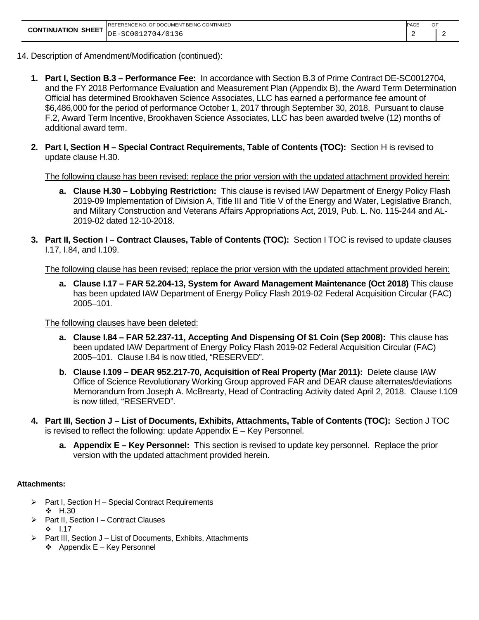|                           | REFERENCE NO. OF DOCUMENT BEING CONTINUED<br>PAGE |  | OF |
|---------------------------|---------------------------------------------------|--|----|
| <b>CONTINUATION SHEET</b> | DE-SC0012704/0136                                 |  |    |

- 14. Description of Amendment/Modification (continued):
	- **1. Part I, Section B.3 – Performance Fee:** In accordance with Section B.3 of Prime Contract DE-SC0012704, and the FY 2018 Performance Evaluation and Measurement Plan (Appendix B), the Award Term Determination Official has determined Brookhaven Science Associates, LLC has earned a performance fee amount of \$6,486,000 for the period of performance October 1, 2017 through September 30, 2018. Pursuant to clause F.2, Award Term Incentive, Brookhaven Science Associates, LLC has been awarded twelve (12) months of additional award term.
	- **2. Part I, Section H – Special Contract Requirements, Table of Contents (TOC):** Section H is revised to update clause H.30.

The following clause has been revised; replace the prior version with the updated attachment provided herein:

- **a. Clause H.30 – Lobbying Restriction:** This clause is revised IAW Department of Energy Policy Flash 2019-09 Implementation of Division A, Title III and Title V of the Energy and Water, Legislative Branch, and Military Construction and Veterans Affairs Appropriations Act, 2019, Pub. L. No. 115-244 and AL-2019-02 dated 12-10-2018.
- **3. Part II, Section I – Contract Clauses, Table of Contents (TOC):** Section I TOC is revised to update clauses I.17, I.84, and I.109.

The following clause has been revised; replace the prior version with the updated attachment provided herein:

**a. Clause I.17 – FAR 52.204-13, System for Award Management Maintenance (Oct 2018)** This clause has been updated IAW Department of Energy Policy Flash 2019-02 Federal Acquisition Circular (FAC) 2005–101.

The following clauses have been deleted:

- **a. Clause I.84 – FAR 52.237-11, Accepting And Dispensing Of \$1 Coin (Sep 2008):** This clause has been updated IAW Department of Energy Policy Flash 2019-02 Federal Acquisition Circular (FAC) 2005–101. Clause I.84 is now titled, "RESERVED".
- **b. Clause I.109 – DEAR 952.217-70, Acquisition of Real Property (Mar 2011):** Delete clause IAW Office of Science Revolutionary Working Group approved FAR and DEAR clause alternates/deviations Memorandum from Joseph A. McBrearty, Head of Contracting Activity dated April 2, 2018.Clause I.109 is now titled, "RESERVED".
- **4. Part III, Section J – List of Documents, Exhibits, Attachments, Table of Contents (TOC):** Section J TOC is revised to reflect the following: update Appendix E – Key Personnel.
	- **a. Appendix E – Key Personnel:** This section is revised to update key personnel. Replace the prior version with the updated attachment provided herein.

#### **Attachments:**

- $\triangleright$  Part I, Section H Special Contract Requirements  $\div$  H.30
- ▶ Part II, Section I Contract Clauses

 $\div$  1.17

- $\triangleright$  Part III, Section J List of Documents, Exhibits, Attachments
	- $\triangleleft$  Appendix E Key Personnel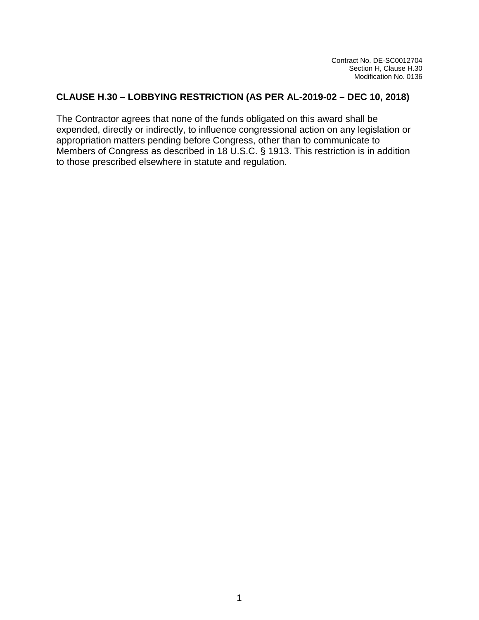### **CLAUSE H.30 – LOBBYING RESTRICTION (AS PER AL-2019-02 – DEC 10, 2018)**

The Contractor agrees that none of the funds obligated on this award shall be expended, directly or indirectly, to influence congressional action on any legislation or appropriation matters pending before Congress, other than to communicate to Members of Congress as described in 18 U.S.C. § 1913. This restriction is in addition to those prescribed elsewhere in statute and regulation.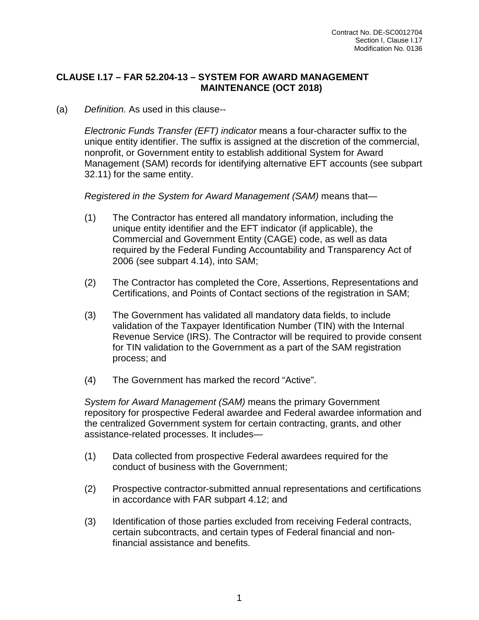#### **CLAUSE I.17 – FAR 52.204-13 – SYSTEM FOR AWARD MANAGEMENT MAINTENANCE (OCT 2018)**

(a) *Definition.* As used in this clause--

*Electronic Funds Transfer (EFT) indicator* means a four-character suffix to the unique entity identifier. The suffix is assigned at the discretion of the commercial, nonprofit, or Government entity to establish additional System for Award Management (SAM) records for identifying alternative EFT accounts (see subpart 32.11) for the same entity.

*Registered in the System for Award Management (SAM)* means that—

- (1) The Contractor has entered all mandatory information, including the unique entity identifier and the EFT indicator (if applicable), the Commercial and Government Entity (CAGE) code, as well as data required by the Federal Funding Accountability and Transparency Act of 2006 (see subpart 4.14), into SAM;
- (2) The Contractor has completed the Core, Assertions, Representations and Certifications, and Points of Contact sections of the registration in SAM;
- (3) The Government has validated all mandatory data fields, to include validation of the Taxpayer Identification Number (TIN) with the Internal Revenue Service (IRS). The Contractor will be required to provide consent for TIN validation to the Government as a part of the SAM registration process; and
- (4) The Government has marked the record "Active".

*System for Award Management (SAM)* means the primary Government repository for prospective Federal awardee and Federal awardee information and the centralized Government system for certain contracting, grants, and other assistance-related processes. It includes—

- (1) Data collected from prospective Federal awardees required for the conduct of business with the Government;
- (2) Prospective contractor-submitted annual representations and certifications in accordance with FAR subpart 4.12; and
- (3) Identification of those parties excluded from receiving Federal contracts, certain subcontracts, and certain types of Federal financial and nonfinancial assistance and benefits.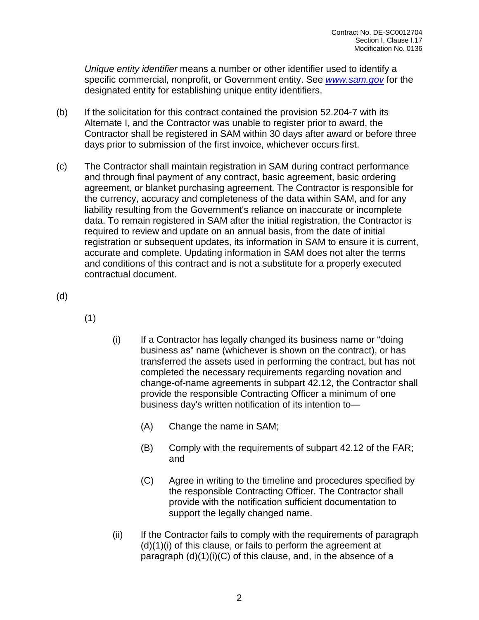*Unique entity identifier* means a number or other identifier used to identify a specific commercial, nonprofit, or Government entity. See *[www.sam.gov](http://www.sam.gov/)* for the designated entity for establishing unique entity identifiers.

- (b) If the solicitation for this contract contained the provision 52.204-7 with its Alternate I, and the Contractor was unable to register prior to award, the Contractor shall be registered in SAM within 30 days after award or before three days prior to submission of the first invoice, whichever occurs first.
- (c) The Contractor shall maintain registration in SAM during contract performance and through final payment of any contract, basic agreement, basic ordering agreement, or blanket purchasing agreement. The Contractor is responsible for the currency, accuracy and completeness of the data within SAM, and for any liability resulting from the Government's reliance on inaccurate or incomplete data. To remain registered in SAM after the initial registration, the Contractor is required to review and update on an annual basis, from the date of initial registration or subsequent updates, its information in SAM to ensure it is current, accurate and complete. Updating information in SAM does not alter the terms and conditions of this contract and is not a substitute for a properly executed contractual document.

(d)

(1)

- (i) If a Contractor has legally changed its business name or "doing business as" name (whichever is shown on the contract), or has transferred the assets used in performing the contract, but has not completed the necessary requirements regarding novation and change-of-name agreements in subpart 42.12, the Contractor shall provide the responsible Contracting Officer a minimum of one business day's written notification of its intention to—
	- (A) Change the name in SAM;
	- (B) Comply with the requirements of subpart 42.12 of the FAR; and
	- (C) Agree in writing to the timeline and procedures specified by the responsible Contracting Officer. The Contractor shall provide with the notification sufficient documentation to support the legally changed name.
- (ii) If the Contractor fails to comply with the requirements of paragraph (d)(1)(i) of this clause, or fails to perform the agreement at paragraph (d)(1)(i)(C) of this clause, and, in the absence of a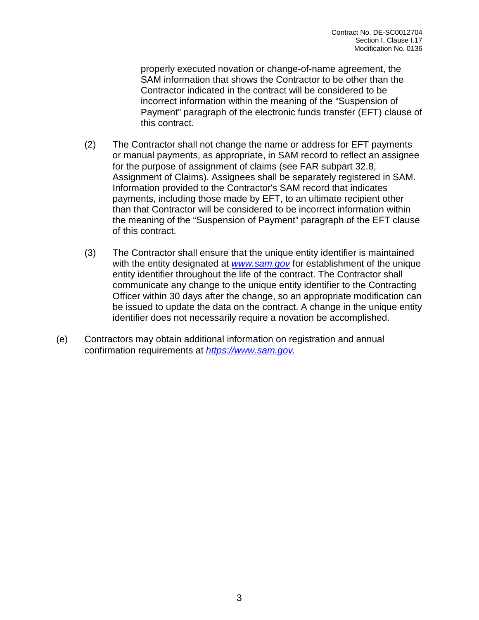properly executed novation or change-of-name agreement, the SAM information that shows the Contractor to be other than the Contractor indicated in the contract will be considered to be incorrect information within the meaning of the "Suspension of Payment" paragraph of the electronic funds transfer (EFT) clause of this contract.

- (2) The Contractor shall not change the name or address for EFT payments or manual payments, as appropriate, in SAM record to reflect an assignee for the purpose of assignment of claims (see FAR subpart 32.8, Assignment of Claims). Assignees shall be separately registered in SAM. Information provided to the Contractor's SAM record that indicates payments, including those made by EFT, to an ultimate recipient other than that Contractor will be considered to be incorrect information within the meaning of the "Suspension of Payment" paragraph of the EFT clause of this contract.
- (3) The Contractor shall ensure that the unique entity identifier is maintained with the entity designated at *[www.sam.gov](http://www.sam.gov/)* for establishment of the unique entity identifier throughout the life of the contract. The Contractor shall communicate any change to the unique entity identifier to the Contracting Officer within 30 days after the change, so an appropriate modification can be issued to update the data on the contract. A change in the unique entity identifier does not necessarily require a novation be accomplished.
- (e) Contractors may obtain additional information on registration and annual confirmation requirements at *[https://www.sam.gov.](https://www.sam.gov/)*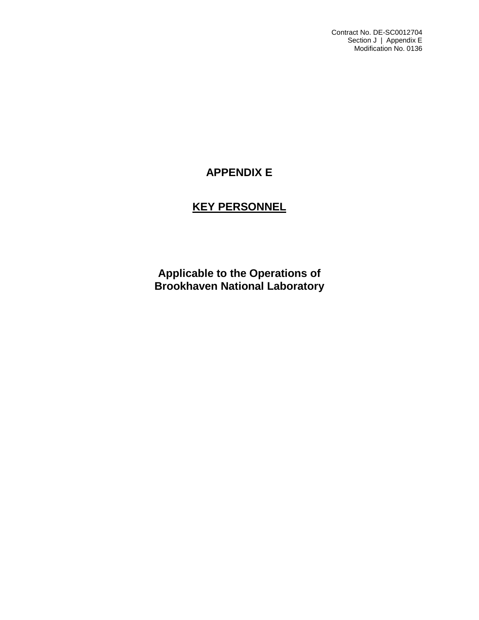Contract No. DE-SC0012704 Section J | Appendix E Modification No. 0136

## **APPENDIX E**

# **KEY PERSONNEL**

**Applicable to the Operations of Brookhaven National Laboratory**